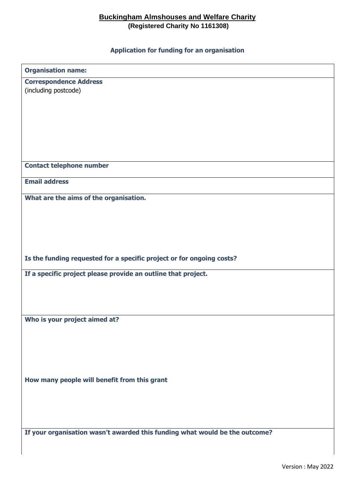## **Buckingham Almshouses and Welfare Charity (Registered Charity No 1161308)**

**Application for funding for an organisation**

| <b>Organisation name:</b>                                                   |  |  |
|-----------------------------------------------------------------------------|--|--|
| <b>Correspondence Address</b>                                               |  |  |
| (including postcode)                                                        |  |  |
|                                                                             |  |  |
|                                                                             |  |  |
|                                                                             |  |  |
|                                                                             |  |  |
| <b>Contact telephone number</b>                                             |  |  |
| <b>Email address</b>                                                        |  |  |
| What are the aims of the organisation.                                      |  |  |
|                                                                             |  |  |
|                                                                             |  |  |
|                                                                             |  |  |
| Is the funding requested for a specific project or for ongoing costs?       |  |  |
| If a specific project please provide an outline that project.               |  |  |
|                                                                             |  |  |
|                                                                             |  |  |
| Who is your project aimed at?                                               |  |  |
|                                                                             |  |  |
|                                                                             |  |  |
|                                                                             |  |  |
| How many people will benefit from this grant                                |  |  |
|                                                                             |  |  |
|                                                                             |  |  |
| If your organisation wasn't awarded this funding what would be the outcome? |  |  |

Version : May 2022